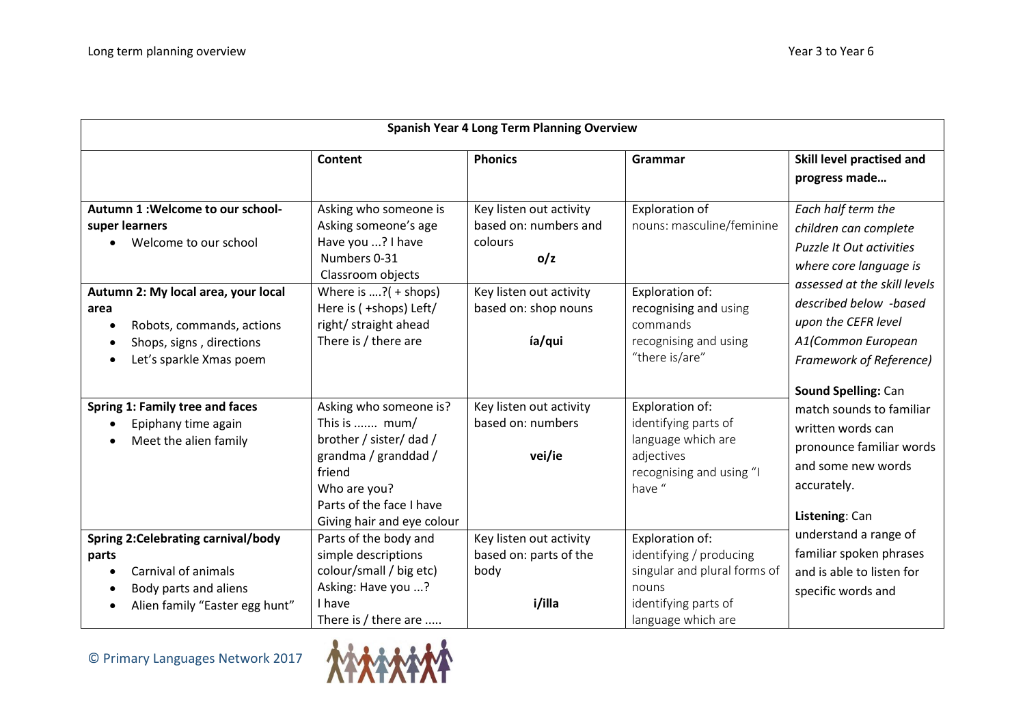| <b>Spanish Year 4 Long Term Planning Overview</b>                                                                             |                                                                                                                                                                                |                                                                                               |                                                                                                                                   |                                                                                                                                                                                                                                                                          |  |
|-------------------------------------------------------------------------------------------------------------------------------|--------------------------------------------------------------------------------------------------------------------------------------------------------------------------------|-----------------------------------------------------------------------------------------------|-----------------------------------------------------------------------------------------------------------------------------------|--------------------------------------------------------------------------------------------------------------------------------------------------------------------------------------------------------------------------------------------------------------------------|--|
|                                                                                                                               | Content                                                                                                                                                                        | <b>Phonics</b>                                                                                | Grammar                                                                                                                           | Skill level practised and<br>progress made                                                                                                                                                                                                                               |  |
| Autumn 1: Welcome to our school-<br>super learners<br>Welcome to our school<br>Autumn 2: My local area, your local            | Asking who someone is<br>Asking someone's age<br>Have you ? I have<br>Numbers 0-31<br>Classroom objects<br>Where is $, ?( +$ shops)                                            | Key listen out activity<br>based on: numbers and<br>colours<br>o/z<br>Key listen out activity | <b>Exploration of</b><br>nouns: masculine/feminine<br>Exploration of:                                                             | Each half term the<br>children can complete<br><b>Puzzle It Out activities</b><br>where core language is<br>assessed at the skill levels<br>described below -based<br>upon the CEFR level<br>A1(Common European<br><b>Framework of Reference)</b><br>Sound Spelling: Can |  |
| area<br>Robots, commands, actions<br>Shops, signs, directions<br>Let's sparkle Xmas poem                                      | Here is ( +shops) Left/<br>right/ straight ahead<br>There is / there are                                                                                                       | based on: shop nouns<br>ía/qui                                                                | recognising and using<br>commands<br>recognising and using<br>"there is/are"                                                      |                                                                                                                                                                                                                                                                          |  |
| Spring 1: Family tree and faces<br>Epiphany time again<br>Meet the alien family                                               | Asking who someone is?<br>This is  mum/<br>brother / sister/ dad /<br>grandma / granddad /<br>friend<br>Who are you?<br>Parts of the face I have<br>Giving hair and eye colour | Key listen out activity<br>based on: numbers<br>vei/ie                                        | Exploration of:<br>identifying parts of<br>language which are<br>adjectives<br>recognising and using "I<br>have "                 | match sounds to familiar<br>written words can<br>pronounce familiar words<br>and some new words<br>accurately.<br>Listening: Can                                                                                                                                         |  |
| Spring 2:Celebrating carnival/body<br>parts<br>Carnival of animals<br>Body parts and aliens<br>Alien family "Easter egg hunt" | Parts of the body and<br>simple descriptions<br>colour/small / big etc)<br>Asking: Have you ?<br>I have<br>There is / there are                                                | Key listen out activity<br>based on: parts of the<br>body<br>i/illa                           | Exploration of:<br>identifying / producing<br>singular and plural forms of<br>nouns<br>identifying parts of<br>language which are | understand a range of<br>familiar spoken phrases<br>and is able to listen for<br>specific words and                                                                                                                                                                      |  |

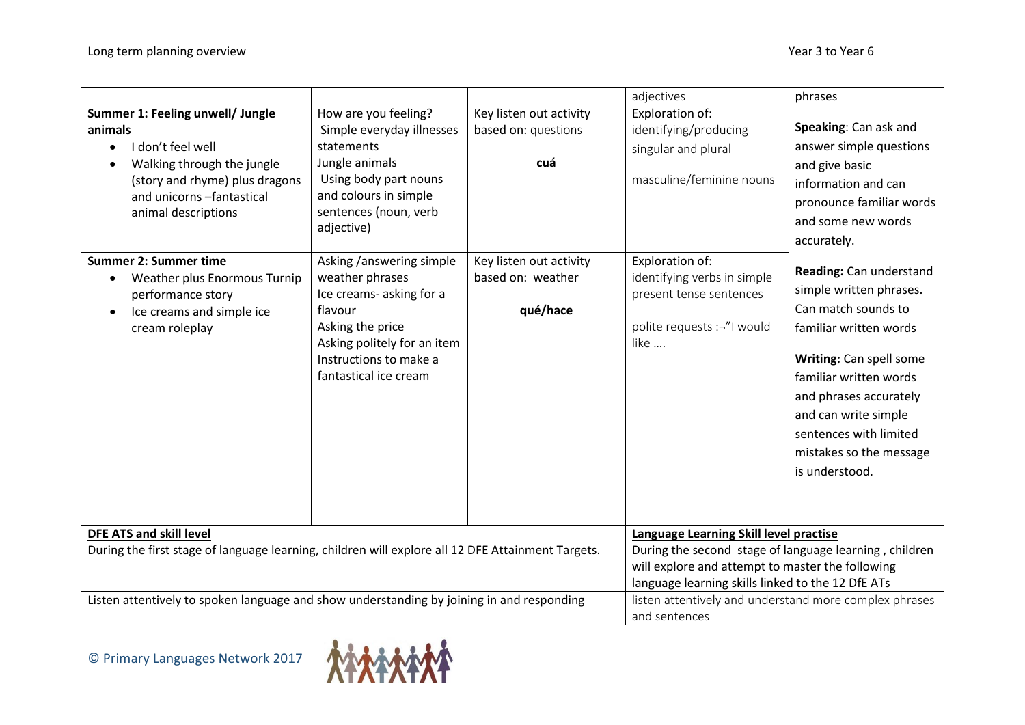|                                                                                                                                                            |                                                                                                                                                                                          |                                                          | adjectives                                                                                                                                           | phrases                                                                                                                                                                                                                                                                           |
|------------------------------------------------------------------------------------------------------------------------------------------------------------|------------------------------------------------------------------------------------------------------------------------------------------------------------------------------------------|----------------------------------------------------------|------------------------------------------------------------------------------------------------------------------------------------------------------|-----------------------------------------------------------------------------------------------------------------------------------------------------------------------------------------------------------------------------------------------------------------------------------|
| Summer 1: Feeling unwell/ Jungle                                                                                                                           | How are you feeling?                                                                                                                                                                     | Key listen out activity                                  | Exploration of:                                                                                                                                      |                                                                                                                                                                                                                                                                                   |
| animals                                                                                                                                                    | Simple everyday illnesses                                                                                                                                                                | based on: questions                                      | identifying/producing                                                                                                                                | Speaking: Can ask and                                                                                                                                                                                                                                                             |
| I don't feel well                                                                                                                                          | statements                                                                                                                                                                               |                                                          | singular and plural                                                                                                                                  | answer simple questions                                                                                                                                                                                                                                                           |
| Walking through the jungle                                                                                                                                 | Jungle animals                                                                                                                                                                           | cuá                                                      |                                                                                                                                                      | and give basic                                                                                                                                                                                                                                                                    |
| (story and rhyme) plus dragons                                                                                                                             | Using body part nouns                                                                                                                                                                    |                                                          | masculine/feminine nouns                                                                                                                             | information and can                                                                                                                                                                                                                                                               |
| and unicorns -fantastical                                                                                                                                  | and colours in simple                                                                                                                                                                    |                                                          |                                                                                                                                                      | pronounce familiar words                                                                                                                                                                                                                                                          |
| animal descriptions                                                                                                                                        | sentences (noun, verb<br>adjective)                                                                                                                                                      |                                                          |                                                                                                                                                      | and some new words                                                                                                                                                                                                                                                                |
|                                                                                                                                                            |                                                                                                                                                                                          |                                                          |                                                                                                                                                      | accurately.                                                                                                                                                                                                                                                                       |
| <b>Summer 2: Summer time</b><br>Weather plus Enormous Turnip<br>$\bullet$<br>performance story<br>Ice creams and simple ice<br>$\bullet$<br>cream roleplay | Asking /answering simple<br>weather phrases<br>Ice creams- asking for a<br>flavour<br>Asking the price<br>Asking politely for an item<br>Instructions to make a<br>fantastical ice cream | Key listen out activity<br>based on: weather<br>qué/hace | Exploration of:<br>identifying verbs in simple<br>present tense sentences<br>polite requests :-"I would<br>like                                      | Reading: Can understand<br>simple written phrases.<br>Can match sounds to<br>familiar written words<br>Writing: Can spell some<br>familiar written words<br>and phrases accurately<br>and can write simple<br>sentences with limited<br>mistakes so the message<br>is understood. |
| <b>DFE ATS and skill level</b><br>During the first stage of language learning, children will explore all 12 DFE Attainment Targets.                        |                                                                                                                                                                                          |                                                          | Language Learning Skill level practise<br>During the second stage of language learning, children<br>will explore and attempt to master the following |                                                                                                                                                                                                                                                                                   |
|                                                                                                                                                            |                                                                                                                                                                                          |                                                          | language learning skills linked to the 12 DfE ATs                                                                                                    |                                                                                                                                                                                                                                                                                   |
| Listen attentively to spoken language and show understanding by joining in and responding                                                                  |                                                                                                                                                                                          |                                                          | listen attentively and understand more complex phrases                                                                                               |                                                                                                                                                                                                                                                                                   |
|                                                                                                                                                            |                                                                                                                                                                                          |                                                          | and sentences                                                                                                                                        |                                                                                                                                                                                                                                                                                   |

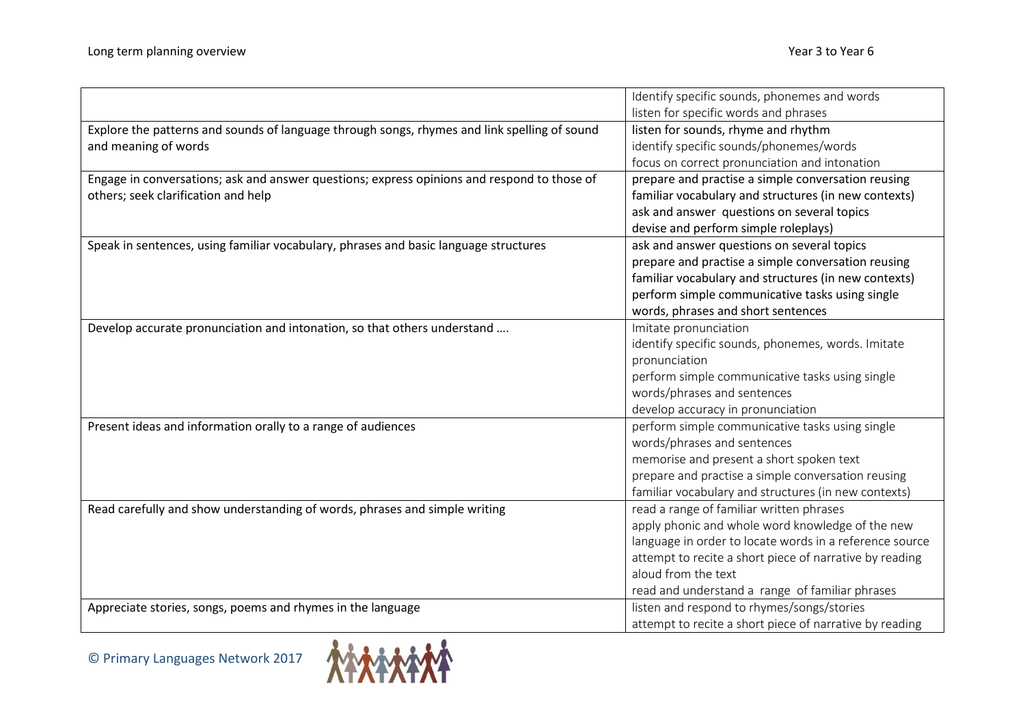|                                                                                              | Identify specific sounds, phonemes and words            |
|----------------------------------------------------------------------------------------------|---------------------------------------------------------|
|                                                                                              | listen for specific words and phrases                   |
| Explore the patterns and sounds of language through songs, rhymes and link spelling of sound | listen for sounds, rhyme and rhythm                     |
| and meaning of words                                                                         | identify specific sounds/phonemes/words                 |
|                                                                                              | focus on correct pronunciation and intonation           |
| Engage in conversations; ask and answer questions; express opinions and respond to those of  | prepare and practise a simple conversation reusing      |
| others; seek clarification and help                                                          | familiar vocabulary and structures (in new contexts)    |
|                                                                                              | ask and answer questions on several topics              |
|                                                                                              | devise and perform simple roleplays)                    |
| Speak in sentences, using familiar vocabulary, phrases and basic language structures         | ask and answer questions on several topics              |
|                                                                                              | prepare and practise a simple conversation reusing      |
|                                                                                              | familiar vocabulary and structures (in new contexts)    |
|                                                                                              | perform simple communicative tasks using single         |
|                                                                                              | words, phrases and short sentences                      |
| Develop accurate pronunciation and intonation, so that others understand                     | Imitate pronunciation                                   |
|                                                                                              | identify specific sounds, phonemes, words. Imitate      |
|                                                                                              | pronunciation                                           |
|                                                                                              | perform simple communicative tasks using single         |
|                                                                                              | words/phrases and sentences                             |
|                                                                                              | develop accuracy in pronunciation                       |
| Present ideas and information orally to a range of audiences                                 | perform simple communicative tasks using single         |
|                                                                                              | words/phrases and sentences                             |
|                                                                                              | memorise and present a short spoken text                |
|                                                                                              | prepare and practise a simple conversation reusing      |
|                                                                                              | familiar vocabulary and structures (in new contexts)    |
| Read carefully and show understanding of words, phrases and simple writing                   | read a range of familiar written phrases                |
|                                                                                              | apply phonic and whole word knowledge of the new        |
|                                                                                              | language in order to locate words in a reference source |
|                                                                                              | attempt to recite a short piece of narrative by reading |
|                                                                                              | aloud from the text                                     |
|                                                                                              | read and understand a range of familiar phrases         |
| Appreciate stories, songs, poems and rhymes in the language                                  | listen and respond to rhymes/songs/stories              |
|                                                                                              | attempt to recite a short piece of narrative by reading |